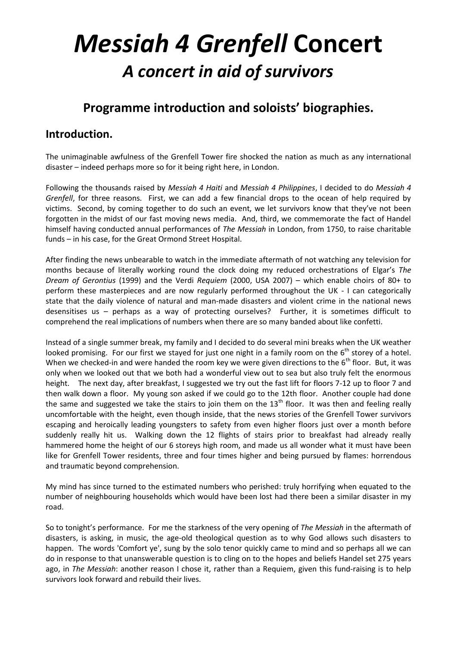# *Messiah 4 Grenfell* **Concert** *A concert in aid of survivors*

## **Programme introduction and soloists' biographies.**

#### **Introduction.**

The unimaginable awfulness of the Grenfell Tower fire shocked the nation as much as any international disaster – indeed perhaps more so for it being right here, in London.

Following the thousands raised by *Messiah 4 Haiti* and *Messiah 4 Philippines*, I decided to do *Messiah 4 Grenfell*, for three reasons. First, we can add a few financial drops to the ocean of help required by victims. Second, by coming together to do such an event, we let survivors know that they've not been forgotten in the midst of our fast moving news media. And, third, we commemorate the fact of Handel himself having conducted annual performances of *The Messiah* in London, from 1750, to raise charitable funds – in his case, for the Great Ormond Street Hospital.

After finding the news unbearable to watch in the immediate aftermath of not watching any television for months because of literally working round the clock doing my reduced orchestrations of Elgar's *The Dream of Gerontius* (1999) and the Verdi *Requiem* (2000, USA 2007) – which enable choirs of 80+ to perform these masterpieces and are now regularly performed throughout the UK - I can categorically state that the daily violence of natural and man-made disasters and violent crime in the national news desensitises us – perhaps as a way of protecting ourselves? Further, it is sometimes difficult to comprehend the real implications of numbers when there are so many banded about like confetti.

Instead of a single summer break, my family and I decided to do several mini breaks when the UK weather looked promising. For our first we stayed for just one night in a family room on the 6<sup>th</sup> storey of a hotel. When we checked-in and were handed the room key we were given directions to the  $6<sup>th</sup>$  floor. But, it was only when we looked out that we both had a wonderful view out to sea but also truly felt the enormous height. The next day, after breakfast, I suggested we try out the fast lift for floors 7-12 up to floor 7 and then walk down a floor. My young son asked if we could go to the 12th floor. Another couple had done the same and suggested we take the stairs to join them on the  $13<sup>th</sup>$  floor. It was then and feeling really uncomfortable with the height, even though inside, that the news stories of the Grenfell Tower survivors escaping and heroically leading youngsters to safety from even higher floors just over a month before suddenly really hit us. Walking down the 12 flights of stairs prior to breakfast had already really hammered home the height of our 6 storeys high room, and made us all wonder what it must have been like for Grenfell Tower residents, three and four times higher and being pursued by flames: horrendous and traumatic beyond comprehension.

My mind has since turned to the estimated numbers who perished: truly horrifying when equated to the number of neighbouring households which would have been lost had there been a similar disaster in my road.

So to tonight's performance. For me the starkness of the very opening of *The Messiah* in the aftermath of disasters, is asking, in music, the age-old theological question as to why God allows such disasters to happen. The words 'Comfort ye', sung by the solo tenor quickly came to mind and so perhaps all we can do in response to that unanswerable question is to cling on to the hopes and beliefs Handel set 275 years ago, in *The Messiah*: another reason I chose it, rather than a Requiem, given this fund-raising is to help survivors look forward and rebuild their lives.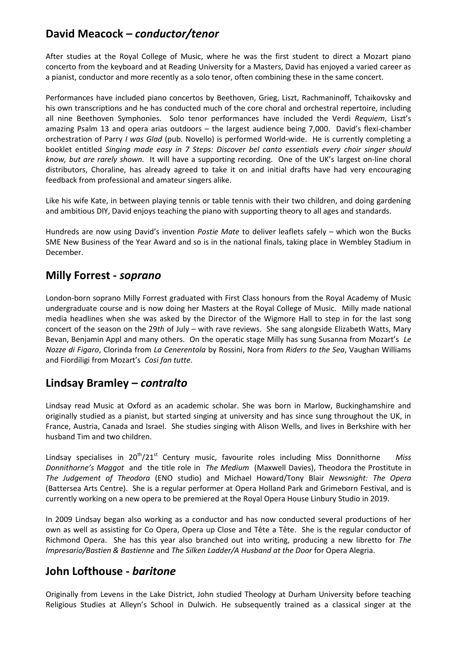## **David Meacock** *– conductor/tenor*

After studies at the Royal College of Music, where he was the first student to direct a Mozart piano concerto from the keyboard and at Reading University for a Masters, David has enjoyed a varied career as a pianist, conductor and more recently as a solo tenor, often combining these in the same concert.

Performances have included piano concertos by Beethoven, Grieg, Liszt, Rachmaninoff, Tchaikovsky and his own transcriptions and he has conducted much of the core choral and orchestral repertoire, including all nine Beethoven Symphonies. Solo tenor performances have included the Verdi *Requiem*, Liszt's amazing Psalm 13 and opera arias outdoors – the largest audience being 7,000. David's flexi-chamber orchestration of Parry *I was Glad* (pub. Novello) is performed World-wide. He is currently completing a booklet entitled *Singing made easy in 7 Steps: Discover bel canto essentials every choir singer should know, but are rarely shown.* It will have a supporting recording. One of the UK's largest on-line choral distributors, Choraline, has already agreed to take it on and initial drafts have had very encouraging feedback from professional and amateur singers alike.

Like his wife Kate, in between playing tennis or table tennis with their two children, and doing gardening and ambitious DIY, David enjoys teaching the piano with supporting theory to all ages and standards.

Hundreds are now using David's invention *Postie Mate* to deliver leaflets safely – which won the Bucks SME New Business of the Year Award and so is in the national finals, taking place in Wembley Stadium in December.

#### **Milly Forrest -** *soprano*

London-born soprano Milly Forrest graduated with First Class honours from the Royal Academy of Music undergraduate course and is now doing her Masters at the Royal College of Music. Milly made national media headlines when she was asked by the Director of the Wigmore Hall to step in for the last song concert of the season on the 29*th* of July – with rave reviews. She sang alongside Elizabeth Watts, Mary Bevan, Benjamin Appl and many others. On the operatic stage Milly has sung Susanna from Mozart's *Le Nozze di Figaro*, Clorinda from *La Cenerentola* by Rossini, Nora from *Riders to the Sea*, Vaughan Williams and Fiordiligi from Mozart's *Cosi fan tutte*.

### **Lindsay Bramley –** *contralto*

Lindsay read Music at Oxford as an academic scholar. She was born in Marlow, Buckinghamshire and originally studied as a pianist, but started singing at university and has since sung throughout the UK, in France, Austria, Canada and Israel. She studies singing with Alison Wells, and lives in Berkshire with her husband Tim and two children.

Lindsay specialises in 20<sup>th</sup>/21<sup>st</sup> Century music, favourite roles including Miss Donnithorne Miss *Donnithorne's Maggot* and the title role in *The Medium* (Maxwell Davies), Theodora the Prostitute in *The Judgement of Theodora* (ENO studio) and Michael Howard/Tony Blair *Newsnight: The Opera* (Battersea Arts Centre). She is a regular performer at Opera Holland Park and Grimeborn Festival, and is currently working on a new opera to be premiered at the Royal Opera House Linbury Studio in 2019.

In 2009 Lindsay began also working as a conductor and has now conducted several productions of her own as well as assisting for Co Opera, Opera up Close and Tête a Tête. She is the regular conductor of Richmond Opera. She has this year also branched out into writing, producing a new libretto for *The Impresario/Bastien & Bastienne* and *The Silken Ladder/A Husband at the Door* for Opera Alegria.

### **John Lofthouse -** *baritone*

Originally from Levens in the Lake District, John studied Theology at Durham University before teaching Religious Studies at Alleyn's School in Dulwich. He subsequently trained as a classical singer at the